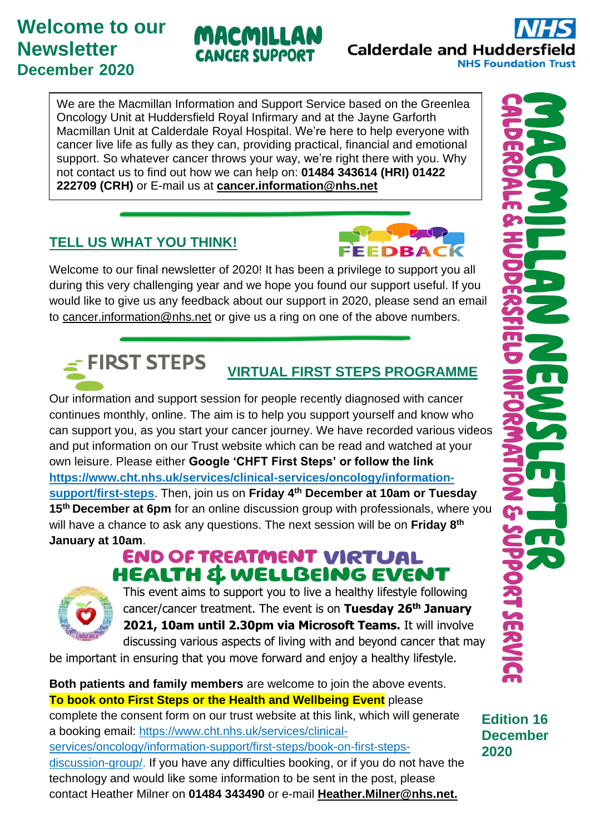# **Welcome to our Newsletter December 2020**

We are the Macmillan Information and Support Service based on the Greenlea Oncology Unit at Huddersfield Royal Infirmary and at the Jayne Garforth Macmillan Unit at Calderdale Royal Hospital. We're here to help everyone with cancer live life as fully as they can, providing practical, financial and emotional support. So whatever cancer throws your way, we're right there with you. Why not contact us to find out how we can help on: **01484 343614 (HRI) 01422 222709 (CRH)** or E-mail us at **[cancer.information@nhs.net](mailto:cancer.information@nhs.net)**

MACMILLAN

**CANCER SUPPORT** 

# **TELL US WHAT YOU THINK!**

Welcome to our final newsletter of 2020! It has been a privilege to support you all during this very challenging year and we hope you found our support useful. If you would like to give us any feedback about our support in 2020, please send an email to [cancer.information@nhs.net](mailto:cancer.information@nhs.net) or give us a ring on one of the above numbers.

#### $\leq$  FIRST STEPS **VIRTUAL FIRST STEPS PROGRAMME**

Our information and support session for people recently diagnosed with cancer continues monthly, online. The aim is to help you support yourself and know who can support you, as you start your cancer journey. We have recorded various videos and put information on our Trust website which can be read and watched at your own leisure. Please either **Google 'CHFT First Steps' or follow the link [https://www.cht.nhs.uk/services/clinical-services/oncology/information](https://www.cht.nhs.uk/services/clinical-services/oncology/information-support/first-steps)[support/first-steps](https://www.cht.nhs.uk/services/clinical-services/oncology/information-support/first-steps)**. Then, join us on **Friday 4 th December at 10am or Tuesday 15th December at 6pm** for an online discussion group with professionals, where you will have a chance to ask any questions. The next session will be on **Friday 8th January at 10am**.

# **END OF TREATMENT VIRTUAL HEALTH & WELLBEING EVENT**



This event aims to support you to live a healthy lifestyle following cancer/cancer treatment. The event is on **Tuesday 26 th January 2021, 10am until 2.30pm via Microsoft Teams.** It will involve discussing various aspects of living with and beyond cancer that may

be important in ensuring that you move forward and enjoy a healthy lifestyle.

#### **Both patients and family members** are welcome to join the above events. **To book onto First Steps or the Health and Wellbeing Event** please

complete the consent form on our trust website at this link, which will generate a booking email: [https://www.cht.nhs.uk/services/clinical](https://www.cht.nhs.uk/services/clinical-services/oncology/information-support/first-steps/book-on-first-steps-discussion-group/)[services/oncology/information-support/first-steps/book-on-first-steps-](https://www.cht.nhs.uk/services/clinical-services/oncology/information-support/first-steps/book-on-first-steps-discussion-group/)

[discussion-group/.](https://www.cht.nhs.uk/services/clinical-services/oncology/information-support/first-steps/book-on-first-steps-discussion-group/) If you have any difficulties booking, or if you do not have the technology and would like some information to be sent in the post, please contact Heather Milner on **01484 343490** or e-mail **[Heather.Milner@nhs.net.](mailto:Heather.Milner@nhs.net)** 

**Calderdale and Huddersfield** 

FEEDBACK

**NHS Foundation Trust** 

**Edition 16 December 2020**